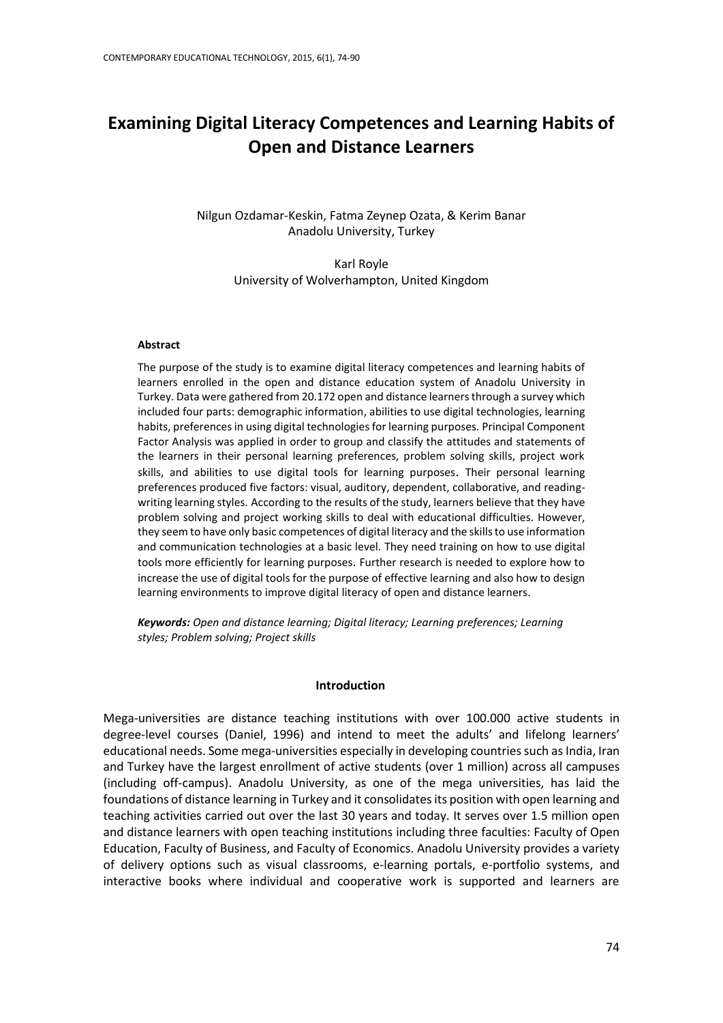# **Examining Digital Literacy Competences and Learning Habits of Open and Distance Learners**

Nilgun Ozdamar-Keskin, Fatma Zeynep Ozata, & Kerim Banar Anadolu University, Turkey

> Karl Royle University of Wolverhampton, United Kingdom

#### **Abstract**

The purpose of the study is to examine digital literacy competences and learning habits of learners enrolled in the open and distance education system of Anadolu University in Turkey. Data were gathered from 20.172 open and distance learners through a survey which included four parts: demographic information, abilities to use digital technologies, learning habits, preferences in using digital technologies for learning purposes. Principal Component Factor Analysis was applied in order to group and classify the attitudes and statements of the learners in their personal learning preferences, problem solving skills, project work skills, and abilities to use digital tools for learning purposes. Their personal learning preferences produced five factors: visual, auditory, dependent, collaborative, and readingwriting learning styles. According to the results of the study, learners believe that they have problem solving and project working skills to deal with educational difficulties. However, they seem to have only basic competences of digital literacy and the skills to use information and communication technologies at a basic level. They need training on how to use digital tools more efficiently for learning purposes. Further research is needed to explore how to increase the use of digital tools for the purpose of effective learning and also how to design learning environments to improve digital literacy of open and distance learners.

*Keywords: Open and distance learning; Digital literacy; Learning preferences; Learning styles; Problem solving; Project skills*

### **Introduction**

Mega-universities are distance teaching institutions with over 100.000 active students in degree-level courses (Daniel, 1996) and intend to meet the adults' and lifelong learners' educational needs. Some mega-universities especially in developing countries such as India, Iran and Turkey have the largest enrollment of active students (over 1 million) across all campuses (including off-campus). Anadolu University, as one of the mega universities, has laid the foundations of distance learning in Turkey and it consolidates its position with open learning and teaching activities carried out over the last 30 years and today. It serves over 1.5 million open and distance learners with open teaching institutions including three faculties: Faculty of Open Education, Faculty of Business, and Faculty of Economics. Anadolu University provides a variety of delivery options such as visual classrooms, e-learning portals, e-portfolio systems, and interactive books where individual and cooperative work is supported and learners are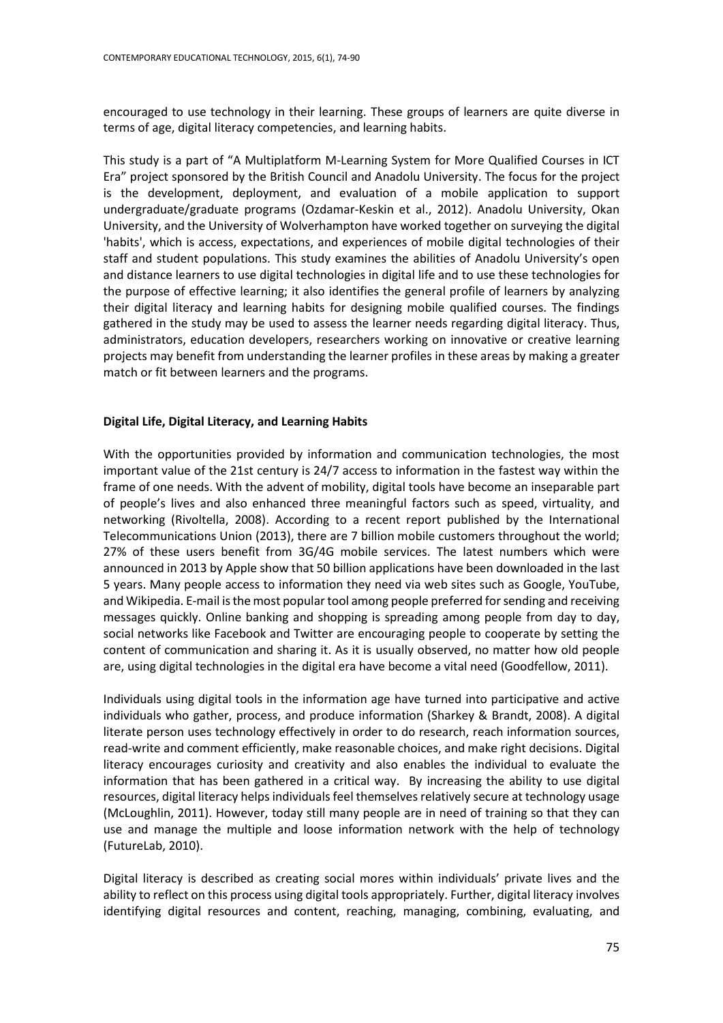encouraged to use technology in their learning. These groups of learners are quite diverse in terms of age, digital literacy competencies, and learning habits.

This study is a part of "A Multiplatform M-Learning System for More Qualified Courses in ICT Era" project sponsored by the British Council and Anadolu University. The focus for the project is the development, deployment, and evaluation of a mobile application to support undergraduate/graduate programs (Ozdamar-Keskin et al., 2012). Anadolu University, Okan University, and the University of Wolverhampton have worked together on surveying the digital 'habits', which is access, expectations, and experiences of mobile digital technologies of their staff and student populations. This study examines the abilities of Anadolu University's open and distance learners to use digital technologies in digital life and to use these technologies for the purpose of effective learning; it also identifies the general profile of learners by analyzing their digital literacy and learning habits for designing mobile qualified courses. The findings gathered in the study may be used to assess the learner needs regarding digital literacy. Thus, administrators, education developers, researchers working on innovative or creative learning projects may benefit from understanding the learner profiles in these areas by making a greater match or fit between learners and the programs.

# **Digital Life, Digital Literacy, and Learning Habits**

With the opportunities provided by information and communication technologies, the most important value of the 21st century is 24/7 access to information in the fastest way within the frame of one needs. With the advent of mobility, digital tools have become an inseparable part of people's lives and also enhanced three meaningful factors such as speed, virtuality, and networking (Rivoltella, 2008). According to a recent report published by the International Telecommunications Union (2013), there are 7 billion mobile customers throughout the world; 27% of these users benefit from 3G/4G mobile services. The latest numbers which were announced in 2013 by Apple show that 50 billion applications have been downloaded in the last 5 years. Many people access to information they need via web sites such as Google, YouTube, and Wikipedia. E-mail is the most popular tool among people preferred for sending and receiving messages quickly. Online banking and shopping is spreading among people from day to day, social networks like Facebook and Twitter are encouraging people to cooperate by setting the content of communication and sharing it. As it is usually observed, no matter how old people are, using digital technologies in the digital era have become a vital need (Goodfellow, 2011).

Individuals using digital tools in the information age have turned into participative and active individuals who gather, process, and produce information (Sharkey & Brandt, 2008). A digital literate person uses technology effectively in order to do research, reach information sources, read-write and comment efficiently, make reasonable choices, and make right decisions. Digital literacy encourages curiosity and creativity and also enables the individual to evaluate the information that has been gathered in a critical way. By increasing the ability to use digital resources, digital literacy helps individuals feel themselves relatively secure at technology usage (McLoughlin, 2011). However, today still many people are in need of training so that they can use and manage the multiple and loose information network with the help of technology (FutureLab, 2010).

Digital literacy is described as creating social mores within individuals' private lives and the ability to reflect on this process using digital tools appropriately. Further, digital literacy involves identifying digital resources and content, reaching, managing, combining, evaluating, and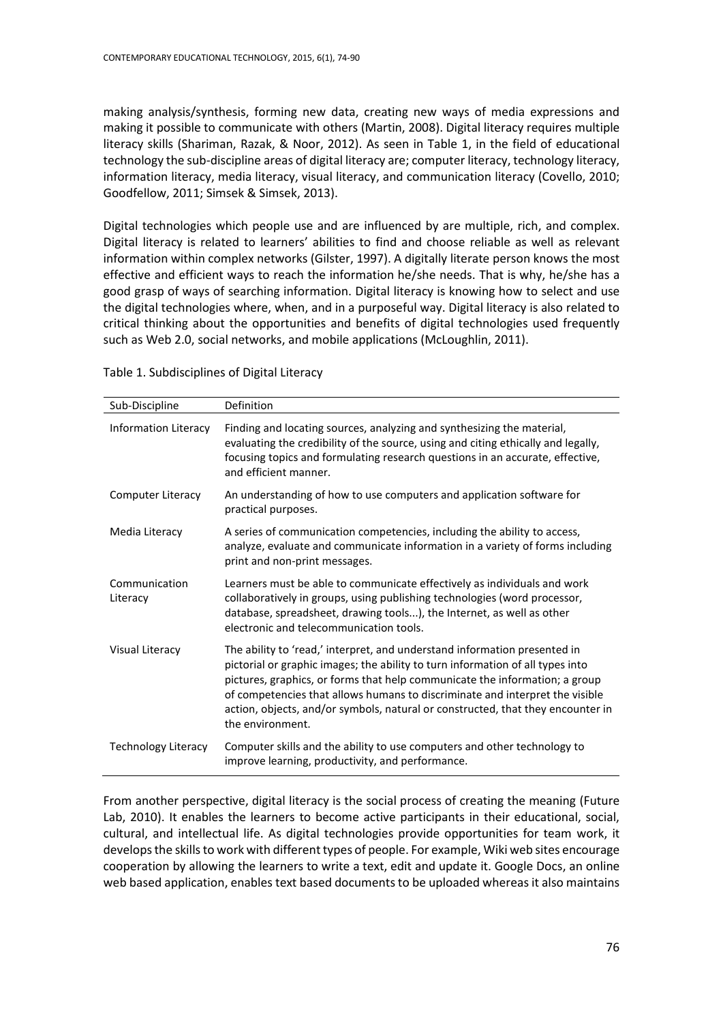making analysis/synthesis, forming new data, creating new ways of media expressions and making it possible to communicate with others (Martin, 2008). Digital literacy requires multiple literacy skills (Shariman, Razak, & Noor, 2012). As seen in Table 1, in the field of educational technology the sub-discipline areas of digital literacy are; computer literacy, technology literacy, information literacy, media literacy, visual literacy, and communication literacy (Covello, 2010; Goodfellow, 2011; Simsek & Simsek, 2013).

Digital technologies which people use and are influenced by are multiple, rich, and complex. Digital literacy is related to learners' abilities to find and choose reliable as well as relevant information within complex networks (Gilster, 1997). A digitally literate person knows the most effective and efficient ways to reach the information he/she needs. That is why, he/she has a good grasp of ways of searching information. Digital literacy is knowing how to select and use the digital technologies where, when, and in a purposeful way. Digital literacy is also related to critical thinking about the opportunities and benefits of digital technologies used frequently such as Web 2.0, social networks, and mobile applications (McLoughlin, 2011).

Table 1. Subdisciplines of Digital Literacy

| Sub-Discipline             | Definition                                                                                                                                                                                                                                                                                                                                                                                                                        |
|----------------------------|-----------------------------------------------------------------------------------------------------------------------------------------------------------------------------------------------------------------------------------------------------------------------------------------------------------------------------------------------------------------------------------------------------------------------------------|
| Information Literacy       | Finding and locating sources, analyzing and synthesizing the material,<br>evaluating the credibility of the source, using and citing ethically and legally,<br>focusing topics and formulating research questions in an accurate, effective,<br>and efficient manner.                                                                                                                                                             |
| Computer Literacy          | An understanding of how to use computers and application software for<br>practical purposes.                                                                                                                                                                                                                                                                                                                                      |
| Media Literacy             | A series of communication competencies, including the ability to access,<br>analyze, evaluate and communicate information in a variety of forms including<br>print and non-print messages.                                                                                                                                                                                                                                        |
| Communication<br>Literacy  | Learners must be able to communicate effectively as individuals and work<br>collaboratively in groups, using publishing technologies (word processor,<br>database, spreadsheet, drawing tools), the Internet, as well as other<br>electronic and telecommunication tools.                                                                                                                                                         |
| Visual Literacy            | The ability to 'read,' interpret, and understand information presented in<br>pictorial or graphic images; the ability to turn information of all types into<br>pictures, graphics, or forms that help communicate the information; a group<br>of competencies that allows humans to discriminate and interpret the visible<br>action, objects, and/or symbols, natural or constructed, that they encounter in<br>the environment. |
| <b>Technology Literacy</b> | Computer skills and the ability to use computers and other technology to<br>improve learning, productivity, and performance.                                                                                                                                                                                                                                                                                                      |

From another perspective, digital literacy is the social process of creating the meaning (Future Lab, 2010). It enables the learners to become active participants in their educational, social, cultural, and intellectual life. As digital technologies provide opportunities for team work, it develops the skills to work with different types of people. For example, Wiki web sites encourage cooperation by allowing the learners to write a text, edit and update it. Google Docs, an online web based application, enables text based documents to be uploaded whereas it also maintains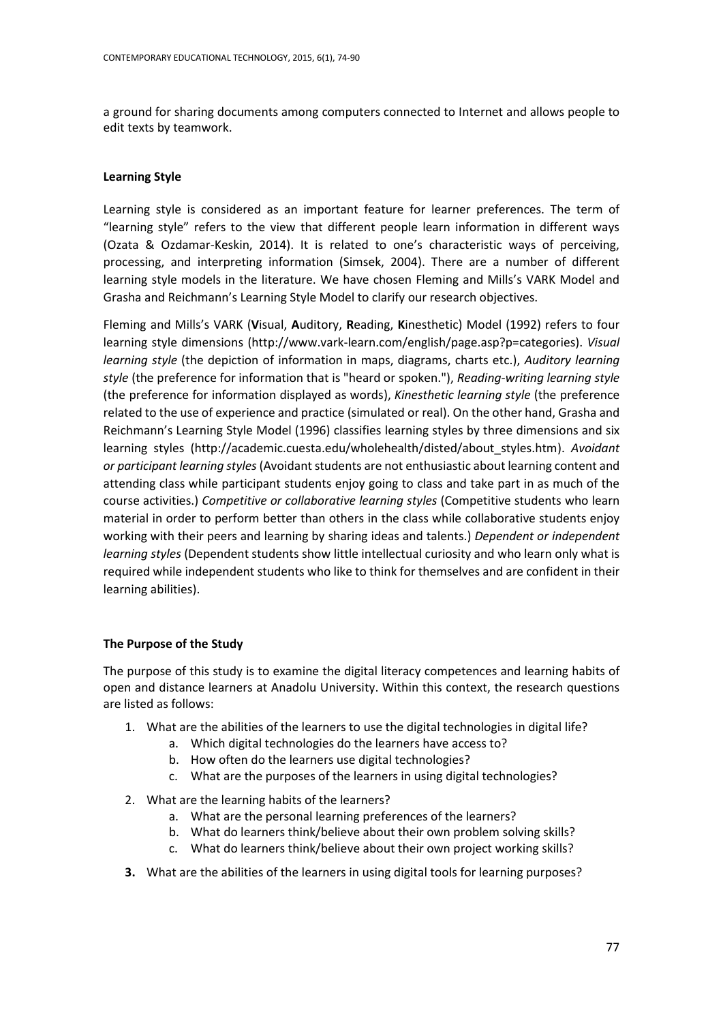a ground for sharing documents among computers connected to Internet and allows people to edit texts by teamwork.

# **Learning Style**

Learning style is considered as an important feature for learner preferences. The term of "learning style" refers to the view that different people learn information in different ways (Ozata & Ozdamar-Keskin, 2014). It is related to one's characteristic ways of perceiving, processing, and interpreting information (Simsek, 2004). There are a number of different learning style models in the literature. We have chosen Fleming and Mills's VARK Model and Grasha and Reichmann's Learning Style Model to clarify our research objectives.

Fleming and Mills's VARK (**V**isual, **A**uditory, **R**eading, **K**inesthetic) Model (1992) refers to four learning style dimensions (http://www.vark-learn.com/english/page.asp?p=categories). *Visual learning style* (the depiction of information in maps, diagrams, charts etc.), *Auditory learning style* (the preference for information that is "heard or spoken."), *Reading-writing learning style* (the preference for information displayed as words), *Kinesthetic learning style* (the preference related to the use of experience and practice (simulated or real). On the other hand, Grasha and Reichmann's Learning Style Model (1996) classifies learning styles by three dimensions and six learning styles [\(http://academic.cuesta.edu/wholehealth/disted/about\\_styles.htm\)](http://academic.cuesta.edu/wholehealth/disted/about_styles.htm). *Avoidant or participant learning styles* (Avoidant students are not enthusiastic about learning content and attending class while participant students enjoy going to class and take part in as much of the course activities.) *Competitive or collaborative learning styles* (Competitive students who learn material in order to perform better than others in the class while collaborative students enjoy working with their peers and learning by sharing ideas and talents.) *Dependent or independent learning styles* (Dependent students show little intellectual curiosity and who learn only what is required while independent students who like to think for themselves and are confident in their learning abilities).

# **The Purpose of the Study**

The purpose of this study is to examine the digital literacy competences and learning habits of open and distance learners at Anadolu University. Within this context, the research questions are listed as follows:

- 1. What are the abilities of the learners to use the digital technologies in digital life?
	- a. Which digital technologies do the learners have access to?
	- b. How often do the learners use digital technologies?
	- c. What are the purposes of the learners in using digital technologies?
- 2. What are the learning habits of the learners?
	- a. What are the personal learning preferences of the learners?
	- b. What do learners think/believe about their own problem solving skills?
	- c. What do learners think/believe about their own project working skills?
- **3.** What are the abilities of the learners in using digital tools for learning purposes?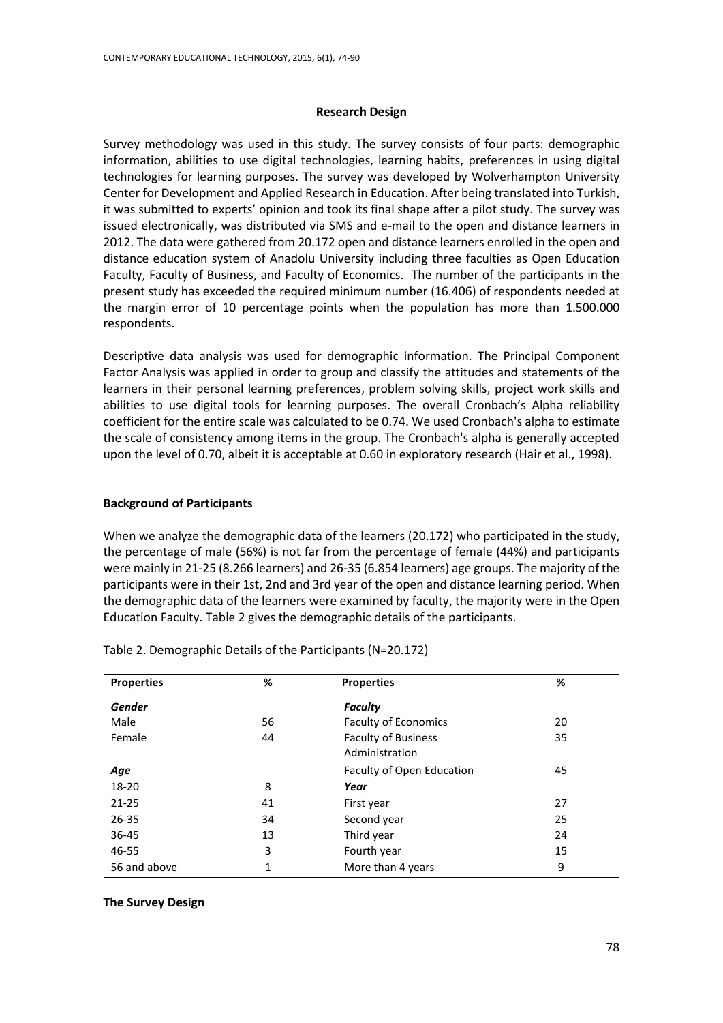### **Research Design**

Survey methodology was used in this study. The survey consists of four parts: demographic information, abilities to use digital technologies, learning habits, preferences in using digital technologies for learning purposes. The survey was developed by Wolverhampton University Center for Development and Applied Research in Education. After being translated into Turkish, it was submitted to experts' opinion and took its final shape after a pilot study. The survey was issued electronically, was distributed via SMS and e-mail to the open and distance learners in 2012. The data were gathered from 20.172 open and distance learners enrolled in the open and distance education system of Anadolu University including three faculties as Open Education Faculty, Faculty of Business, and Faculty of Economics. The number of the participants in the present study has exceeded the required minimum number (16.406) of respondents needed at the margin error of 10 percentage points when the population has more than 1.500.000 respondents.

Descriptive data analysis was used for demographic information. The Principal Component Factor Analysis was applied in order to group and classify the attitudes and statements of the learners in their personal learning preferences, problem solving skills, project work skills and abilities to use digital tools for learning purposes. The overall Cronbach's Alpha reliability coefficient for the entire scale was calculated to be 0.74. We used Cronbach's alpha to estimate the scale of consistency among items in the group. The Cronbach's alpha is generally accepted upon the level of 0.70, albeit it is acceptable at 0.60 in exploratory research (Hair et al., 1998).

### **Background of Participants**

When we analyze the demographic data of the learners (20.172) who participated in the study, the percentage of male (56%) is not far from the percentage of female (44%) and participants were mainly in 21-25 (8.266 learners) and 26-35 (6.854 learners) age groups. The majority of the participants were in their 1st, 2nd and 3rd year of the open and distance learning period. When the demographic data of the learners were examined by faculty, the majority were in the Open Education Faculty. Table 2 gives the demographic details of the participants.

| <b>Properties</b> | %  | <b>Properties</b>                            | %  |
|-------------------|----|----------------------------------------------|----|
| <b>Gender</b>     |    | <b>Faculty</b>                               |    |
| Male              | 56 | <b>Faculty of Economics</b>                  | 20 |
| Female            | 44 | <b>Faculty of Business</b><br>Administration | 35 |
| Age               |    | Faculty of Open Education                    | 45 |
| 18-20             | 8  | Year                                         |    |
| $21 - 25$         | 41 | First year                                   | 27 |
| $26 - 35$         | 34 | Second year                                  | 25 |
| 36-45             | 13 | Third year                                   | 24 |
| 46-55             | 3  | Fourth year                                  | 15 |
| 56 and above      | 1  | More than 4 years                            | 9  |

Table 2. Demographic Details of the Participants (N=20.172)

# **The Survey Design**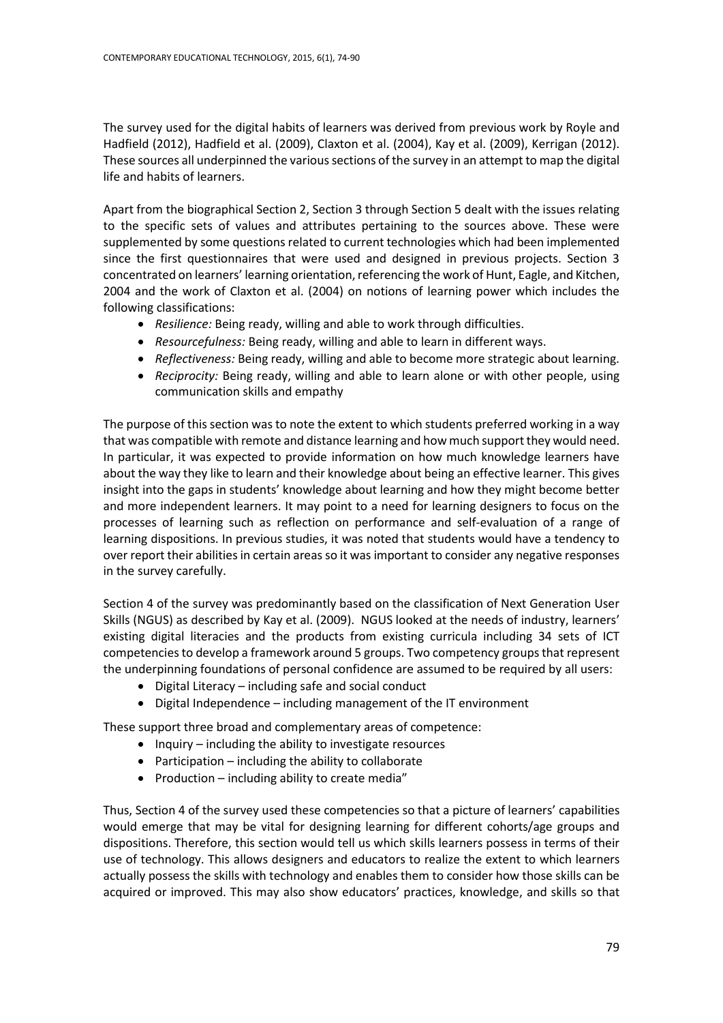The survey used for the digital habits of learners was derived from previous work by Royle and Hadfield (2012), Hadfield et al. (2009), Claxton et al. (2004), Kay et al. (2009), Kerrigan (2012). These sources all underpinned the various sections of the survey in an attempt to map the digital life and habits of learners.

Apart from the biographical Section 2, Section 3 through Section 5 dealt with the issues relating to the specific sets of values and attributes pertaining to the sources above. These were supplemented by some questions related to current technologies which had been implemented since the first questionnaires that were used and designed in previous projects. Section 3 concentrated on learners' learning orientation, referencing the work of Hunt, Eagle, and Kitchen, 2004 and the work of Claxton et al. (2004) on notions of learning power which includes the following classifications:

- *Resilience:* Being ready, willing and able to work through difficulties.
- *Resourcefulness:* Being ready, willing and able to learn in different ways.
- *Reflectiveness:* Being ready, willing and able to become more strategic about learning.
- *Reciprocity:* Being ready, willing and able to learn alone or with other people, using communication skills and empathy

The purpose of this section was to note the extent to which students preferred working in a way that was compatible with remote and distance learning and how much support they would need. In particular, it was expected to provide information on how much knowledge learners have about the way they like to learn and their knowledge about being an effective learner. This gives insight into the gaps in students' knowledge about learning and how they might become better and more independent learners. It may point to a need for learning designers to focus on the processes of learning such as reflection on performance and self-evaluation of a range of learning dispositions. In previous studies, it was noted that students would have a tendency to over report their abilities in certain areas so it was important to consider any negative responses in the survey carefully.

Section 4 of the survey was predominantly based on the classification of Next Generation User Skills (NGUS) as described by Kay et al. (2009). NGUS looked at the needs of industry, learners' existing digital literacies and the products from existing curricula including 34 sets of ICT competencies to develop a framework around 5 groups. Two competency groups that represent the underpinning foundations of personal confidence are assumed to be required by all users:

- Digital Literacy including safe and social conduct
- Digital Independence including management of the IT environment

These support three broad and complementary areas of competence:

- $\bullet$  Inquiry including the ability to investigate resources
- Participation including the ability to collaborate
- Production  $-$  including ability to create media"

Thus, Section 4 of the survey used these competencies so that a picture of learners' capabilities would emerge that may be vital for designing learning for different cohorts/age groups and dispositions. Therefore, this section would tell us which skills learners possess in terms of their use of technology. This allows designers and educators to realize the extent to which learners actually possess the skills with technology and enables them to consider how those skills can be acquired or improved. This may also show educators' practices, knowledge, and skills so that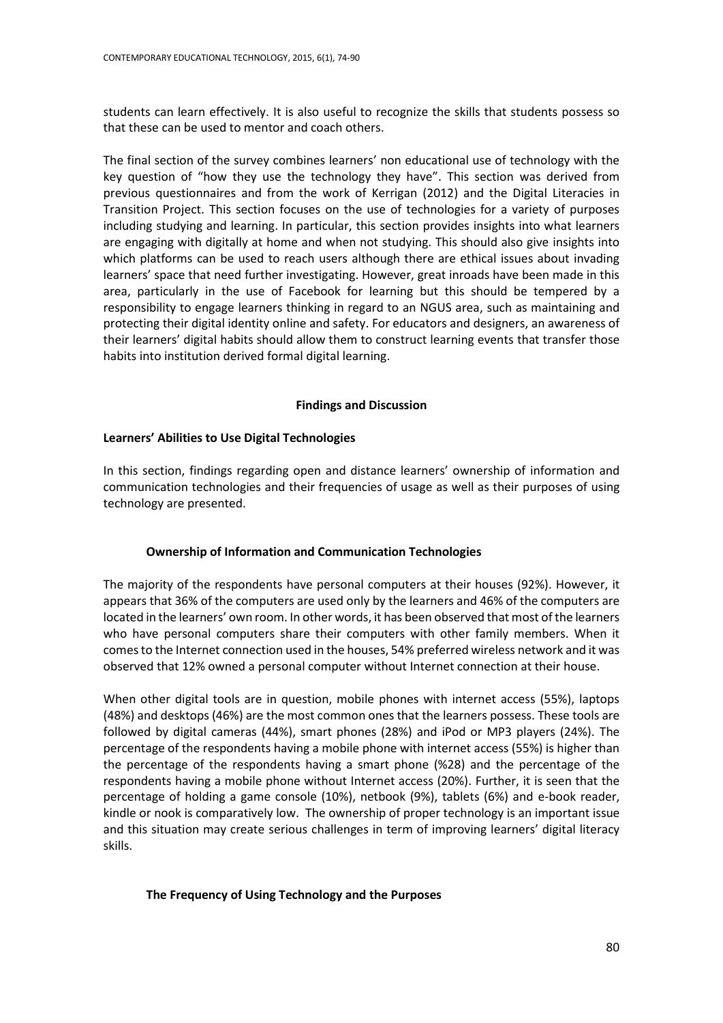students can learn effectively. It is also useful to recognize the skills that students possess so that these can be used to mentor and coach others.

The final section of the survey combines learners' non educational use of technology with the key question of "how they use the technology they have". This section was derived from previous questionnaires and from the work of Kerrigan (2012) and the Digital Literacies in Transition Project. This section focuses on the use of technologies for a variety of purposes including studying and learning. In particular, this section provides insights into what learners are engaging with digitally at home and when not studying. This should also give insights into which platforms can be used to reach users although there are ethical issues about invading learners' space that need further investigating. However, great inroads have been made in this area, particularly in the use of Facebook for learning but this should be tempered by a responsibility to engage learners thinking in regard to an NGUS area, such as maintaining and protecting their digital identity online and safety. For educators and designers, an awareness of their learners' digital habits should allow them to construct learning events that transfer those habits into institution derived formal digital learning.

# **Findings and Discussion**

# **Learners' Abilities to Use Digital Technologies**

In this section, findings regarding open and distance learners' ownership of information and communication technologies and their frequencies of usage as well as their purposes of using technology are presented.

# **Ownership of Information and Communication Technologies**

The majority of the respondents have personal computers at their houses (92%). However, it appears that 36% of the computers are used only by the learners and 46% of the computers are located in the learners' own room. In other words, it has been observed that most of the learners who have personal computers share their computers with other family members. When it comes to the Internet connection used in the houses, 54% preferred wireless network and it was observed that 12% owned a personal computer without Internet connection at their house.

When other digital tools are in question, mobile phones with internet access (55%), laptops (48%) and desktops (46%) are the most common ones that the learners possess. These tools are followed by digital cameras (44%), smart phones (28%) and iPod or MP3 players (24%). The percentage of the respondents having a mobile phone with internet access (55%) is higher than the percentage of the respondents having a smart phone (%28) and the percentage of the respondents having a mobile phone without Internet access (20%). Further, it is seen that the percentage of holding a game console (10%), netbook (9%), tablets (6%) and e-book reader, kindle or nook is comparatively low. The ownership of proper technology is an important issue and this situation may create serious challenges in term of improving learners' digital literacy skills.

# **The Frequency of Using Technology and the Purposes**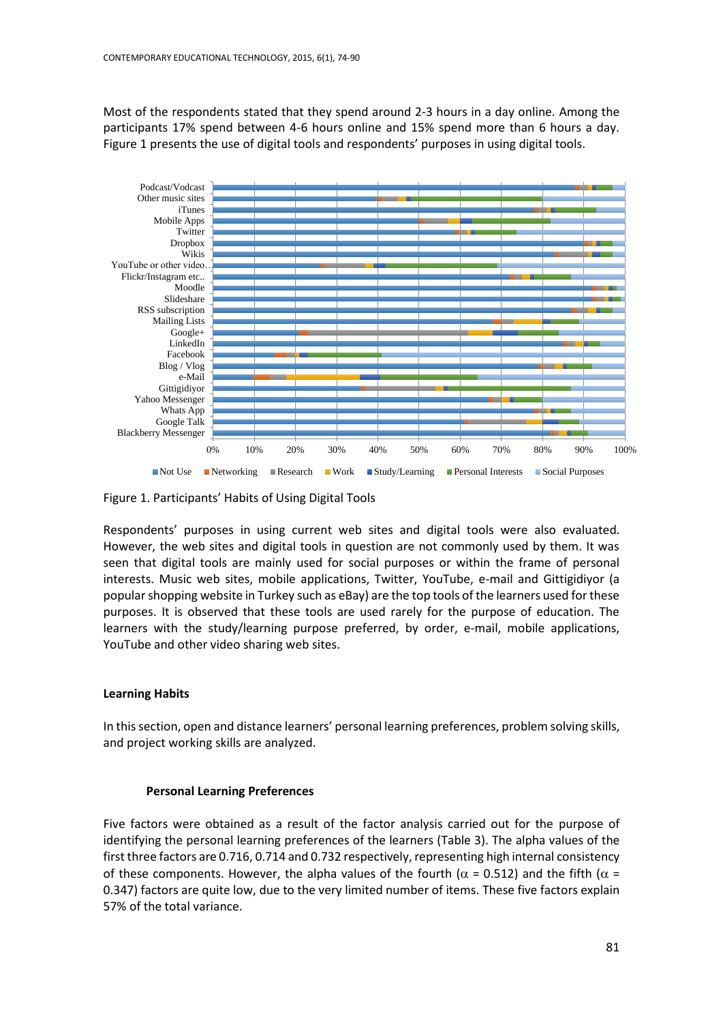Most of the respondents stated that they spend around 2-3 hours in a day online. Among the participants 17% spend between 4-6 hours online and 15% spend more than 6 hours a day. Figure 1 presents the use of digital tools and respondents' purposes in using digital tools.



Figure 1. Participants' Habits of Using Digital Tools

Respondents' purposes in using current web sites and digital tools were also evaluated. However, the web sites and digital tools in question are not commonly used by them. It was seen that digital tools are mainly used for social purposes or within the frame of personal interests. Music web sites, mobile applications, Twitter, YouTube, e-mail and Gittigidiyor (a popular shopping website in Turkey such as eBay) are the top tools of the learners used for these purposes. It is observed that these tools are used rarely for the purpose of education. The learners with the study/learning purpose preferred, by order, e-mail, mobile applications, YouTube and other video sharing web sites.

# **Learning Habits**

In this section, open and distance learners' personal learning preferences, problem solving skills, and project working skills are analyzed.

# **Personal Learning Preferences**

Five factors were obtained as a result of the factor analysis carried out for the purpose of identifying the personal learning preferences of the learners (Table 3). The alpha values of the first three factors are 0.716, 0.714 and 0.732 respectively, representing high internal consistency of these components. However, the alpha values of the fourth ( $\alpha$  = 0.512) and the fifth ( $\alpha$  = 0.347) factors are quite low, due to the very limited number of items. These five factors explain 57% of the total variance.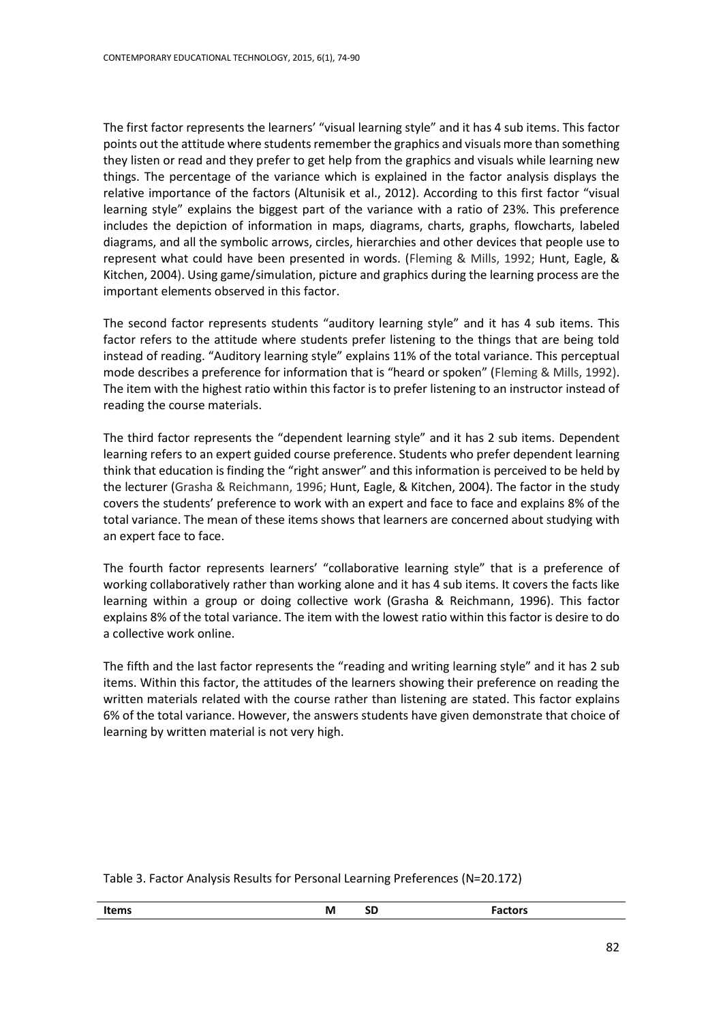The first factor represents the learners' "visual learning style" and it has 4 sub items. This factor points out the attitude where students remember the graphics and visuals more than something they listen or read and they prefer to get help from the graphics and visuals while learning new things. The percentage of the variance which is explained in the factor analysis displays the relative importance of the factors (Altunisik et al., 2012). According to this first factor "visual learning style" explains the biggest part of the variance with a ratio of 23%. This preference includes the depiction of information in maps, diagrams, charts, graphs, flowcharts, labeled diagrams, and all the symbolic arrows, circles, hierarchies and other devices that people use to represent what could have been presented in words. (Fleming & Mills, 1992; Hunt, Eagle, & Kitchen, 2004). Using game/simulation, picture and graphics during the learning process are the important elements observed in this factor.

The second factor represents students "auditory learning style" and it has 4 sub items. This factor refers to the attitude where students prefer listening to the things that are being told instead of reading. "Auditory learning style" explains 11% of the total variance. This perceptual mode describes a preference for information that is "heard or spoken" (Fleming & Mills, 1992). The item with the highest ratio within this factor is to prefer listening to an instructor instead of reading the course materials.

The third factor represents the "dependent learning style" and it has 2 sub items. Dependent learning refers to an expert guided course preference. Students who prefer dependent learning think that education is finding the "right answer" and this information is perceived to be held by the lecturer (Grasha & Reichmann, 1996; Hunt, Eagle, & Kitchen, 2004). The factor in the study covers the students' preference to work with an expert and face to face and explains 8% of the total variance. The mean of these items shows that learners are concerned about studying with an expert face to face.

The fourth factor represents learners' "collaborative learning style" that is a preference of working collaboratively rather than working alone and it has 4 sub items. It covers the facts like learning within a group or doing collective work (Grasha & Reichmann, 1996). This factor explains 8% of the total variance. The item with the lowest ratio within this factor is desire to do a collective work online.

The fifth and the last factor represents the "reading and writing learning style" and it has 2 sub items. Within this factor, the attitudes of the learners showing their preference on reading the written materials related with the course rather than listening are stated. This factor explains 6% of the total variance. However, the answers students have given demonstrate that choice of learning by written material is not very high.

|  |  | Table 3. Factor Analysis Results for Personal Learning Preferences (N=20.172) |  |
|--|--|-------------------------------------------------------------------------------|--|
|--|--|-------------------------------------------------------------------------------|--|

| Items | ΙVΙ | -- | ---- |
|-------|-----|----|------|
|       |     | ັ  | כוש. |
|       |     |    |      |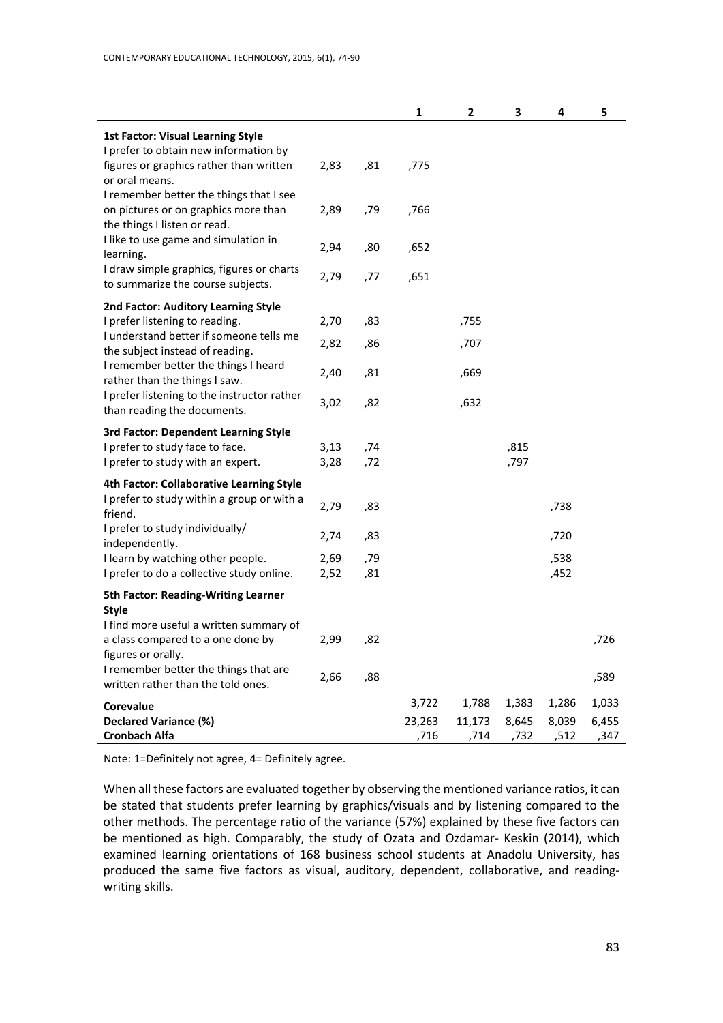| $\mathbf{2}$<br>1<br>3<br>4<br>5<br><b>1st Factor: Visual Learning Style</b><br>I prefer to obtain new information by<br>figures or graphics rather than written<br>2,83<br>,81<br>,775<br>or oral means.<br>I remember better the things that I see<br>on pictures or on graphics more than<br>2,89<br>,79<br>,766<br>the things I listen or read.<br>I like to use game and simulation in<br>2,94<br>,80<br>,652<br>learning.<br>I draw simple graphics, figures or charts<br>2,79<br>,77<br>,651<br>to summarize the course subjects.<br>2nd Factor: Auditory Learning Style<br>I prefer listening to reading.<br>2,70<br>,83<br>,755<br>I understand better if someone tells me<br>2,82<br>,86<br>,707<br>the subject instead of reading.<br>I remember better the things I heard<br>2,40<br>,81<br>,669<br>rather than the things I saw. |
|-----------------------------------------------------------------------------------------------------------------------------------------------------------------------------------------------------------------------------------------------------------------------------------------------------------------------------------------------------------------------------------------------------------------------------------------------------------------------------------------------------------------------------------------------------------------------------------------------------------------------------------------------------------------------------------------------------------------------------------------------------------------------------------------------------------------------------------------------|
|                                                                                                                                                                                                                                                                                                                                                                                                                                                                                                                                                                                                                                                                                                                                                                                                                                               |
|                                                                                                                                                                                                                                                                                                                                                                                                                                                                                                                                                                                                                                                                                                                                                                                                                                               |
|                                                                                                                                                                                                                                                                                                                                                                                                                                                                                                                                                                                                                                                                                                                                                                                                                                               |
|                                                                                                                                                                                                                                                                                                                                                                                                                                                                                                                                                                                                                                                                                                                                                                                                                                               |
|                                                                                                                                                                                                                                                                                                                                                                                                                                                                                                                                                                                                                                                                                                                                                                                                                                               |
|                                                                                                                                                                                                                                                                                                                                                                                                                                                                                                                                                                                                                                                                                                                                                                                                                                               |
|                                                                                                                                                                                                                                                                                                                                                                                                                                                                                                                                                                                                                                                                                                                                                                                                                                               |
|                                                                                                                                                                                                                                                                                                                                                                                                                                                                                                                                                                                                                                                                                                                                                                                                                                               |
|                                                                                                                                                                                                                                                                                                                                                                                                                                                                                                                                                                                                                                                                                                                                                                                                                                               |
|                                                                                                                                                                                                                                                                                                                                                                                                                                                                                                                                                                                                                                                                                                                                                                                                                                               |
| I prefer listening to the instructor rather<br>3,02<br>,82<br>,632<br>than reading the documents.                                                                                                                                                                                                                                                                                                                                                                                                                                                                                                                                                                                                                                                                                                                                             |
| <b>3rd Factor: Dependent Learning Style</b>                                                                                                                                                                                                                                                                                                                                                                                                                                                                                                                                                                                                                                                                                                                                                                                                   |
| I prefer to study face to face.<br>3,13<br>,74<br>,815<br>I prefer to study with an expert.<br>,797<br>3,28<br>,72                                                                                                                                                                                                                                                                                                                                                                                                                                                                                                                                                                                                                                                                                                                            |
| 4th Factor: Collaborative Learning Style                                                                                                                                                                                                                                                                                                                                                                                                                                                                                                                                                                                                                                                                                                                                                                                                      |
| I prefer to study within a group or with a<br>2,79<br>,83<br>,738<br>friend.                                                                                                                                                                                                                                                                                                                                                                                                                                                                                                                                                                                                                                                                                                                                                                  |
| I prefer to study individually/<br>2,74<br>,83<br>,720<br>independently.                                                                                                                                                                                                                                                                                                                                                                                                                                                                                                                                                                                                                                                                                                                                                                      |
| I learn by watching other people.<br>2,69<br>,79<br>,538                                                                                                                                                                                                                                                                                                                                                                                                                                                                                                                                                                                                                                                                                                                                                                                      |
| I prefer to do a collective study online.<br>,81<br>,452<br>2,52                                                                                                                                                                                                                                                                                                                                                                                                                                                                                                                                                                                                                                                                                                                                                                              |
| <b>5th Factor: Reading-Writing Learner</b>                                                                                                                                                                                                                                                                                                                                                                                                                                                                                                                                                                                                                                                                                                                                                                                                    |
| <b>Style</b><br>I find more useful a written summary of                                                                                                                                                                                                                                                                                                                                                                                                                                                                                                                                                                                                                                                                                                                                                                                       |
| a class compared to a one done by<br>2,99<br>,82<br>,726<br>figures or orally.                                                                                                                                                                                                                                                                                                                                                                                                                                                                                                                                                                                                                                                                                                                                                                |
| I remember better the things that are<br>2,66<br>,88<br>,589<br>written rather than the told ones.                                                                                                                                                                                                                                                                                                                                                                                                                                                                                                                                                                                                                                                                                                                                            |
| 3,722<br>1,383<br>1,286<br>1,788<br>1,033<br><b>Corevalue</b>                                                                                                                                                                                                                                                                                                                                                                                                                                                                                                                                                                                                                                                                                                                                                                                 |
| <b>Declared Variance (%)</b><br>23,263<br>11,173<br>8,645<br>8,039<br>6,455<br><b>Cronbach Alfa</b><br>,716<br>,714<br>,732<br>,512<br>,347                                                                                                                                                                                                                                                                                                                                                                                                                                                                                                                                                                                                                                                                                                   |

Note: 1=Definitely not agree, 4= Definitely agree.

When all these factors are evaluated together by observing the mentioned variance ratios, it can be stated that students prefer learning by graphics/visuals and by listening compared to the other methods. The percentage ratio of the variance (57%) explained by these five factors can be mentioned as high. Comparably, the study of Ozata and Ozdamar- Keskin (2014), which examined learning orientations of 168 business school students at Anadolu University, has produced the same five factors as visual, auditory, dependent, collaborative, and readingwriting skills.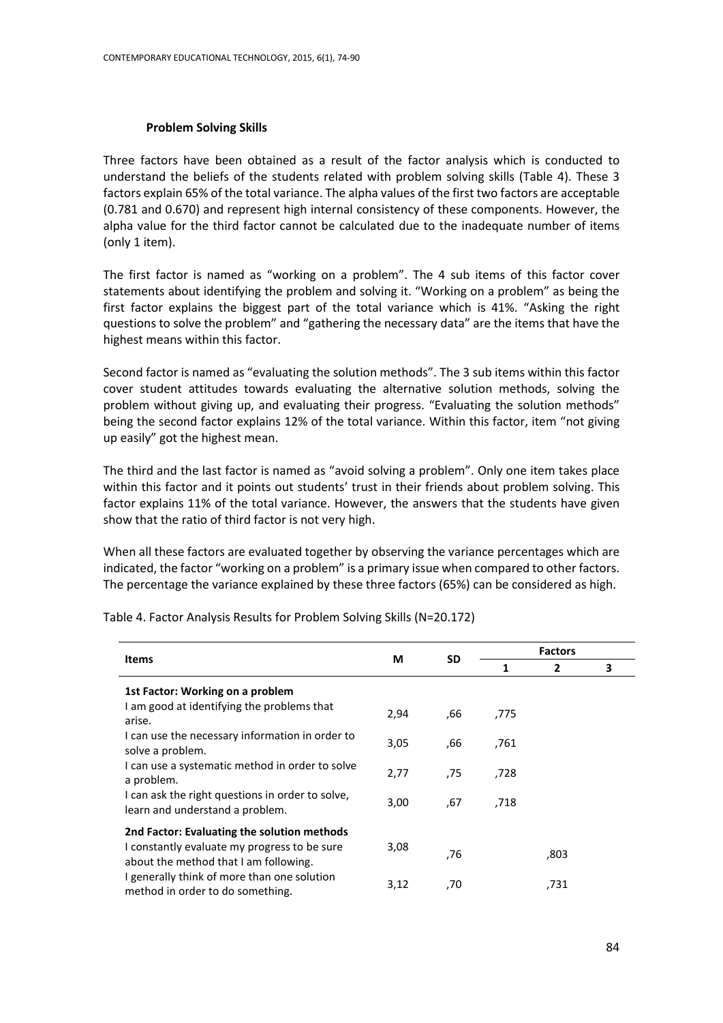### **Problem Solving Skills**

Three factors have been obtained as a result of the factor analysis which is conducted to understand the beliefs of the students related with problem solving skills (Table 4). These 3 factors explain 65% of the total variance. The alpha values of the first two factors are acceptable (0.781 and 0.670) and represent high internal consistency of these components. However, the alpha value for the third factor cannot be calculated due to the inadequate number of items (only 1 item).

The first factor is named as "working on a problem". The 4 sub items of this factor cover statements about identifying the problem and solving it. "Working on a problem" as being the first factor explains the biggest part of the total variance which is 41%. "Asking the right questions to solve the problem" and "gathering the necessary data" are the items that have the highest means within this factor.

Second factor is named as "evaluating the solution methods". The 3 sub items within this factor cover student attitudes towards evaluating the alternative solution methods, solving the problem without giving up, and evaluating their progress. "Evaluating the solution methods" being the second factor explains 12% of the total variance. Within this factor, item "not giving up easily" got the highest mean.

The third and the last factor is named as "avoid solving a problem". Only one item takes place within this factor and it points out students' trust in their friends about problem solving. This factor explains 11% of the total variance. However, the answers that the students have given show that the ratio of third factor is not very high.

When all these factors are evaluated together by observing the variance percentages which are indicated, the factor "working on a problem" is a primary issue when compared to other factors. The percentage the variance explained by these three factors (65%) can be considered as high.

| <b>Items</b>                                                                          | М    | <b>SD</b> | <b>Factors</b> |                |   |  |
|---------------------------------------------------------------------------------------|------|-----------|----------------|----------------|---|--|
|                                                                                       |      |           | 1              | $\overline{2}$ | 3 |  |
| 1st Factor: Working on a problem                                                      |      |           |                |                |   |  |
| I am good at identifying the problems that<br>arise.                                  | 2,94 | ,66       | ,775           |                |   |  |
| I can use the necessary information in order to<br>solve a problem.                   | 3,05 | ,66       | .761           |                |   |  |
| I can use a systematic method in order to solve<br>a problem.                         | 2,77 | ,75       | ,728           |                |   |  |
| I can ask the right questions in order to solve,<br>learn and understand a problem.   | 3,00 | .67       | ,718           |                |   |  |
| 2nd Factor: Evaluating the solution methods                                           |      |           |                |                |   |  |
| I constantly evaluate my progress to be sure<br>about the method that I am following. | 3,08 | 76,       |                | ,803           |   |  |
| I generally think of more than one solution<br>method in order to do something.       | 3,12 | ,70       |                | ,731           |   |  |

Table 4. Factor Analysis Results for Problem Solving Skills (N=20.172)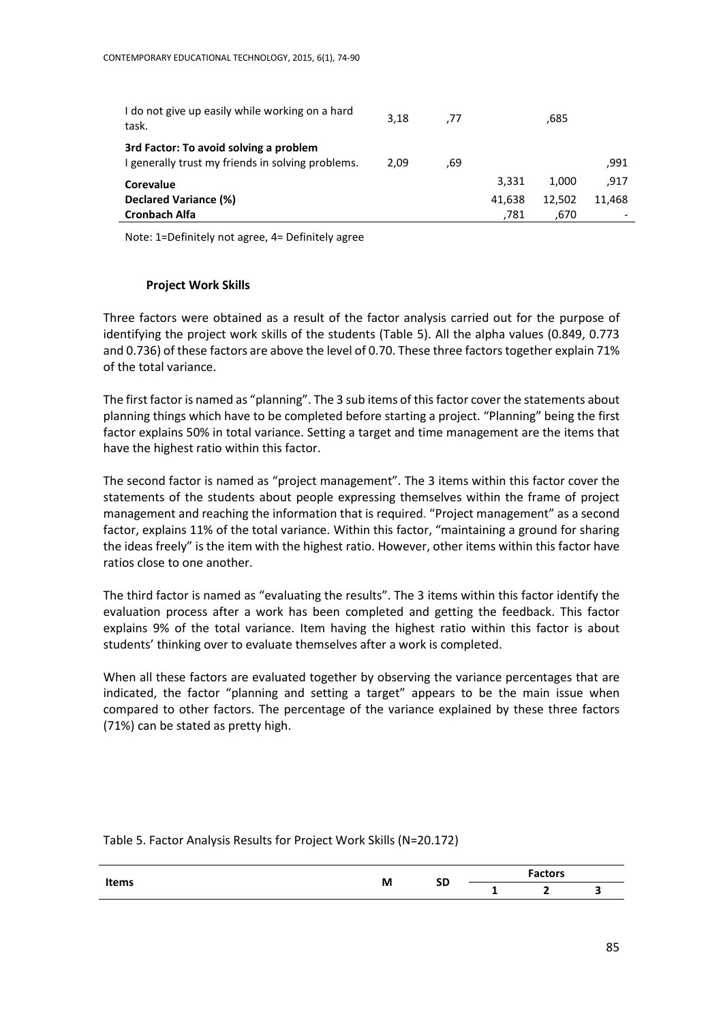| I do not give up easily while working on a hard<br>task.                                    | 3.18 | .77 |        | .685   |        |
|---------------------------------------------------------------------------------------------|------|-----|--------|--------|--------|
| 3rd Factor: To avoid solving a problem<br>I generally trust my friends in solving problems. | 2.09 | .69 |        |        | .991   |
| <b>Corevalue</b>                                                                            |      |     | 3.331  | 1.000  | .917   |
| Declared Variance (%)                                                                       |      |     | 41.638 | 12.502 | 11.468 |
| <b>Cronbach Alfa</b>                                                                        |      |     | .781   | ,670   |        |

Note: 1=Definitely not agree, 4= Definitely agree

# **Project Work Skills**

Three factors were obtained as a result of the factor analysis carried out for the purpose of identifying the project work skills of the students (Table 5). All the alpha values (0.849, 0.773 and 0.736) of these factors are above the level of 0.70. These three factors together explain 71% of the total variance.

The first factor is named as "planning". The 3 sub items of thisfactor cover the statements about planning things which have to be completed before starting a project. "Planning" being the first factor explains 50% in total variance. Setting a target and time management are the items that have the highest ratio within this factor.

The second factor is named as "project management". The 3 items within this factor cover the statements of the students about people expressing themselves within the frame of project management and reaching the information that is required. "Project management" as a second factor, explains 11% of the total variance. Within this factor, "maintaining a ground for sharing the ideas freely" is the item with the highest ratio. However, other items within this factor have ratios close to one another.

The third factor is named as "evaluating the results". The 3 items within this factor identify the evaluation process after a work has been completed and getting the feedback. This factor explains 9% of the total variance. Item having the highest ratio within this factor is about students' thinking over to evaluate themselves after a work is completed.

When all these factors are evaluated together by observing the variance percentages that are indicated, the factor "planning and setting a target" appears to be the main issue when compared to other factors. The percentage of the variance explained by these three factors (71%) can be stated as pretty high.

Table 5. Factor Analysis Results for Project Work Skills (N=20.172)

|       | M | <b>SD</b> | <b>Factors</b>           |   |  |  |
|-------|---|-----------|--------------------------|---|--|--|
| Items |   |           | $\overline{\phantom{0}}$ | - |  |  |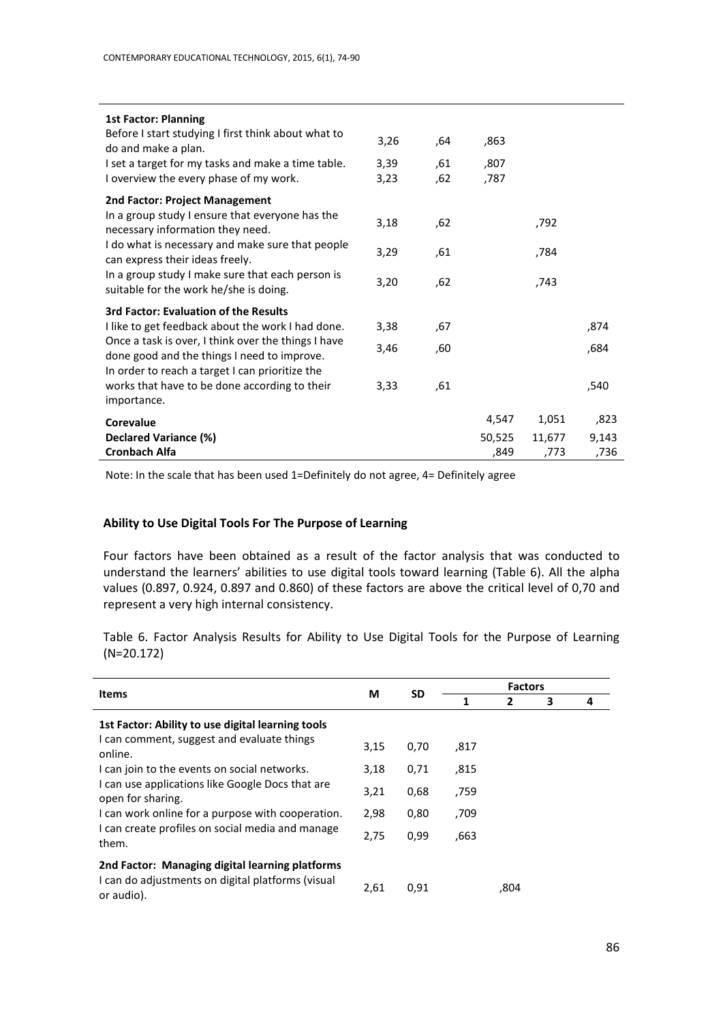| <b>1st Factor: Planning</b><br>Before I start studying I first think about what to<br>do and make a plan.<br>I set a target for my tasks and make a time table.<br>I overview the every phase of my work.                                                                                                                  | 3,26<br>3,39<br>3,23 | .64<br>,61<br>.62 | ,863<br>,807<br>,787    |                         |                       |
|----------------------------------------------------------------------------------------------------------------------------------------------------------------------------------------------------------------------------------------------------------------------------------------------------------------------------|----------------------|-------------------|-------------------------|-------------------------|-----------------------|
| 2nd Factor: Project Management<br>In a group study I ensure that everyone has the<br>necessary information they need.<br>I do what is necessary and make sure that people<br>can express their ideas freely.<br>In a group study I make sure that each person is<br>suitable for the work he/she is doing.                 | 3,18<br>3,29<br>3,20 | .62<br>,61<br>.62 |                         | .792<br>784,<br>,743    |                       |
| <b>3rd Factor: Evaluation of the Results</b><br>I like to get feedback about the work I had done.<br>Once a task is over, I think over the things I have<br>done good and the things I need to improve.<br>In order to reach a target I can prioritize the<br>works that have to be done according to their<br>importance. | 3,38<br>3,46<br>3,33 | ,67<br>,60<br>,61 |                         |                         | ,874<br>,684<br>,540  |
| Corevalue<br>Declared Variance (%)<br><b>Cronbach Alfa</b>                                                                                                                                                                                                                                                                 |                      |                   | 4,547<br>50,525<br>,849 | 1,051<br>11,677<br>,773 | ,823<br>9,143<br>,736 |

Note: In the scale that has been used 1=Definitely do not agree, 4= Definitely agree

### **Ability to Use Digital Tools For The Purpose of Learning**

Four factors have been obtained as a result of the factor analysis that was conducted to understand the learners' abilities to use digital tools toward learning (Table 6). All the alpha values (0.897, 0.924, 0.897 and 0.860) of these factors are above the critical level of 0,70 and represent a very high internal consistency.

Table 6. Factor Analysis Results for Ability to Use Digital Tools for the Purpose of Learning (N=20.172)

|                                                                                                 | М    |           | <b>Factors</b> |      |   |   |  |
|-------------------------------------------------------------------------------------------------|------|-----------|----------------|------|---|---|--|
| <b>Items</b>                                                                                    |      | <b>SD</b> | 1              | 2    | 3 | 4 |  |
| 1st Factor: Ability to use digital learning tools<br>I can comment, suggest and evaluate things |      |           |                |      |   |   |  |
| online.                                                                                         | 3,15 | 0,70      | ,817           |      |   |   |  |
| I can join to the events on social networks.                                                    | 3,18 | 0,71      | ,815           |      |   |   |  |
| I can use applications like Google Docs that are<br>open for sharing.                           | 3,21 | 0,68      | ,759           |      |   |   |  |
| I can work online for a purpose with cooperation.                                               | 2,98 | 0,80      | ,709           |      |   |   |  |
| I can create profiles on social media and manage<br>them.                                       | 2,75 | 0,99      | .663           |      |   |   |  |
| 2nd Factor: Managing digital learning platforms                                                 |      |           |                |      |   |   |  |
| I can do adjustments on digital platforms (visual<br>or audio).                                 | 2,61 | 0,91      |                | ,804 |   |   |  |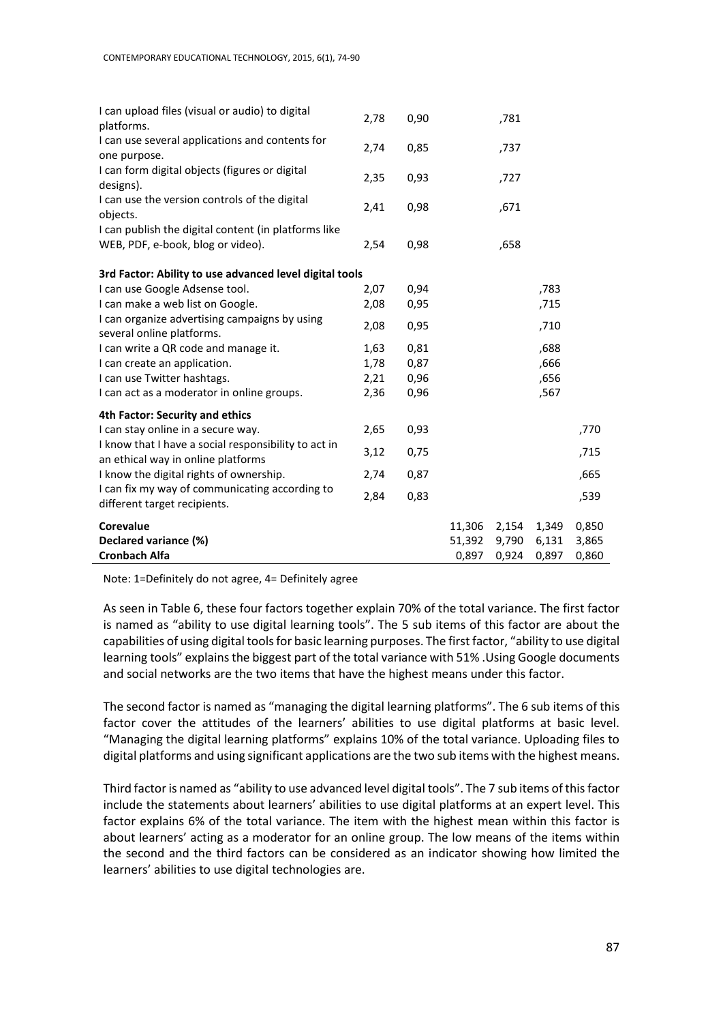| I can upload files (visual or audio) to digital<br>platforms.                              | 2,78 | 0,90 |        | ,781  |       |       |
|--------------------------------------------------------------------------------------------|------|------|--------|-------|-------|-------|
| I can use several applications and contents for<br>one purpose.                            | 2,74 | 0,85 |        | ,737  |       |       |
| I can form digital objects (figures or digital<br>designs).                                | 2,35 | 0,93 |        | ,727  |       |       |
| I can use the version controls of the digital<br>objects.                                  | 2,41 | 0,98 |        | ,671  |       |       |
| I can publish the digital content (in platforms like                                       |      |      |        |       |       |       |
| WEB, PDF, e-book, blog or video).                                                          | 2,54 | 0,98 |        | ,658  |       |       |
| 3rd Factor: Ability to use advanced level digital tools                                    |      |      |        |       |       |       |
| I can use Google Adsense tool.                                                             | 2,07 | 0,94 |        |       | ,783  |       |
| I can make a web list on Google.                                                           | 2,08 | 0,95 |        |       | ,715  |       |
| I can organize advertising campaigns by using<br>several online platforms.                 | 2,08 | 0,95 |        |       | ,710  |       |
| I can write a QR code and manage it.                                                       | 1,63 | 0,81 |        |       | ,688  |       |
| I can create an application.                                                               | 1,78 | 0,87 |        |       | ,666  |       |
| I can use Twitter hashtags.                                                                | 2,21 | 0,96 |        |       | ,656  |       |
| I can act as a moderator in online groups.                                                 | 2,36 | 0,96 |        |       | ,567  |       |
| 4th Factor: Security and ethics                                                            |      |      |        |       |       |       |
| I can stay online in a secure way.                                                         | 2,65 | 0,93 |        |       |       | ,770  |
| I know that I have a social responsibility to act in<br>an ethical way in online platforms | 3,12 | 0,75 |        |       |       | ,715  |
| I know the digital rights of ownership.                                                    | 2,74 | 0,87 |        |       |       | ,665  |
| I can fix my way of communicating according to<br>different target recipients.             | 2,84 | 0,83 |        |       |       | ,539  |
| Corevalue                                                                                  |      |      | 11,306 | 2,154 | 1,349 | 0,850 |
| Declared variance (%)                                                                      |      |      | 51,392 | 9,790 | 6,131 | 3,865 |
| <b>Cronbach Alfa</b>                                                                       |      |      | 0,897  | 0,924 | 0,897 | 0,860 |

Note: 1=Definitely do not agree, 4= Definitely agree

As seen in Table 6, these four factors together explain 70% of the total variance. The first factor is named as "ability to use digital learning tools". The 5 sub items of this factor are about the capabilities of using digital tools for basic learning purposes. The first factor, "ability to use digital learning tools" explains the biggest part of the total variance with 51% .Using Google documents and social networks are the two items that have the highest means under this factor.

The second factor is named as "managing the digital learning platforms". The 6 sub items of this factor cover the attitudes of the learners' abilities to use digital platforms at basic level. "Managing the digital learning platforms" explains 10% of the total variance. Uploading files to digital platforms and using significant applications are the two sub items with the highest means.

Third factor is named as "ability to use advanced level digital tools". The 7 sub items of this factor include the statements about learners' abilities to use digital platforms at an expert level. This factor explains 6% of the total variance. The item with the highest mean within this factor is about learners' acting as a moderator for an online group. The low means of the items within the second and the third factors can be considered as an indicator showing how limited the learners' abilities to use digital technologies are.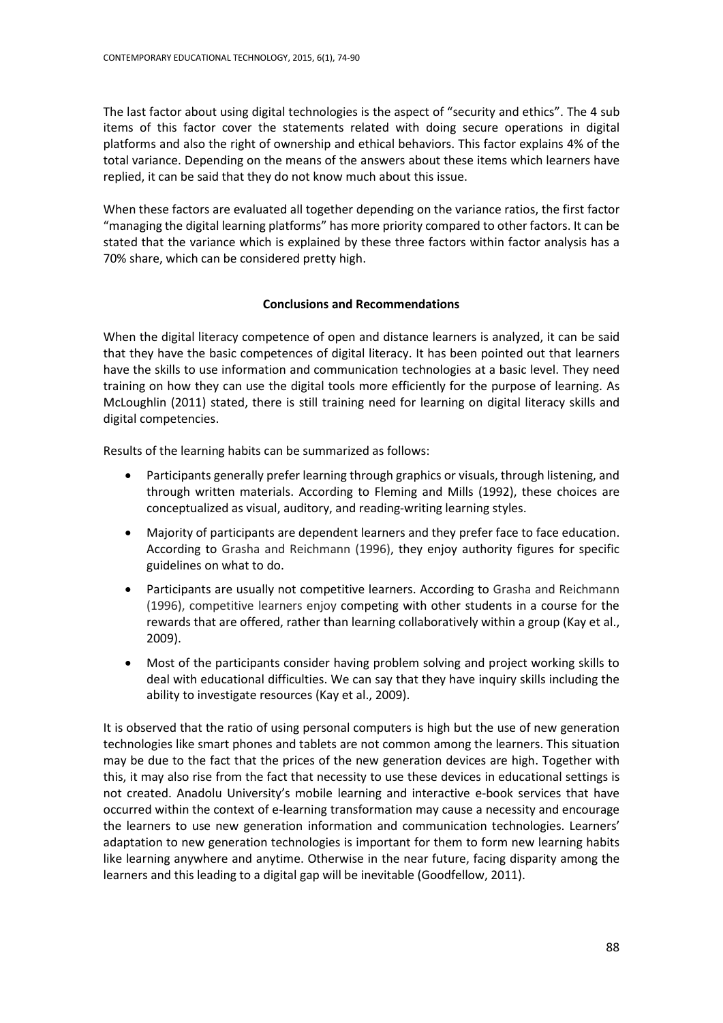The last factor about using digital technologies is the aspect of "security and ethics". The 4 sub items of this factor cover the statements related with doing secure operations in digital platforms and also the right of ownership and ethical behaviors. This factor explains 4% of the total variance. Depending on the means of the answers about these items which learners have replied, it can be said that they do not know much about this issue.

When these factors are evaluated all together depending on the variance ratios, the first factor "managing the digital learning platforms" has more priority compared to other factors. It can be stated that the variance which is explained by these three factors within factor analysis has a 70% share, which can be considered pretty high.

# **Conclusions and Recommendations**

When the digital literacy competence of open and distance learners is analyzed, it can be said that they have the basic competences of digital literacy. It has been pointed out that learners have the skills to use information and communication technologies at a basic level. They need training on how they can use the digital tools more efficiently for the purpose of learning. As McLoughlin (2011) stated, there is still training need for learning on digital literacy skills and digital competencies.

Results of the learning habits can be summarized as follows:

- Participants generally prefer learning through graphics or visuals, through listening, and through written materials. According to Fleming and Mills (1992), these choices are conceptualized as visual, auditory, and reading-writing learning styles.
- Majority of participants are dependent learners and they prefer face to face education. According to Grasha and Reichmann (1996), they enjoy authority figures for specific guidelines on what to do.
- Participants are usually not competitive learners. According to Grasha and Reichmann (1996), competitive learners enjoy competing with other students in a course for the rewards that are offered, rather than learning collaboratively within a group (Kay et al., 2009).
- Most of the participants consider having problem solving and project working skills to deal with educational difficulties. We can say that they have inquiry skills including the ability to investigate resources (Kay et al., 2009).

It is observed that the ratio of using personal computers is high but the use of new generation technologies like smart phones and tablets are not common among the learners. This situation may be due to the fact that the prices of the new generation devices are high. Together with this, it may also rise from the fact that necessity to use these devices in educational settings is not created. Anadolu University's mobile learning and interactive e-book services that have occurred within the context of e-learning transformation may cause a necessity and encourage the learners to use new generation information and communication technologies. Learners' adaptation to new generation technologies is important for them to form new learning habits like learning anywhere and anytime. Otherwise in the near future, facing disparity among the learners and this leading to a digital gap will be inevitable (Goodfellow, 2011).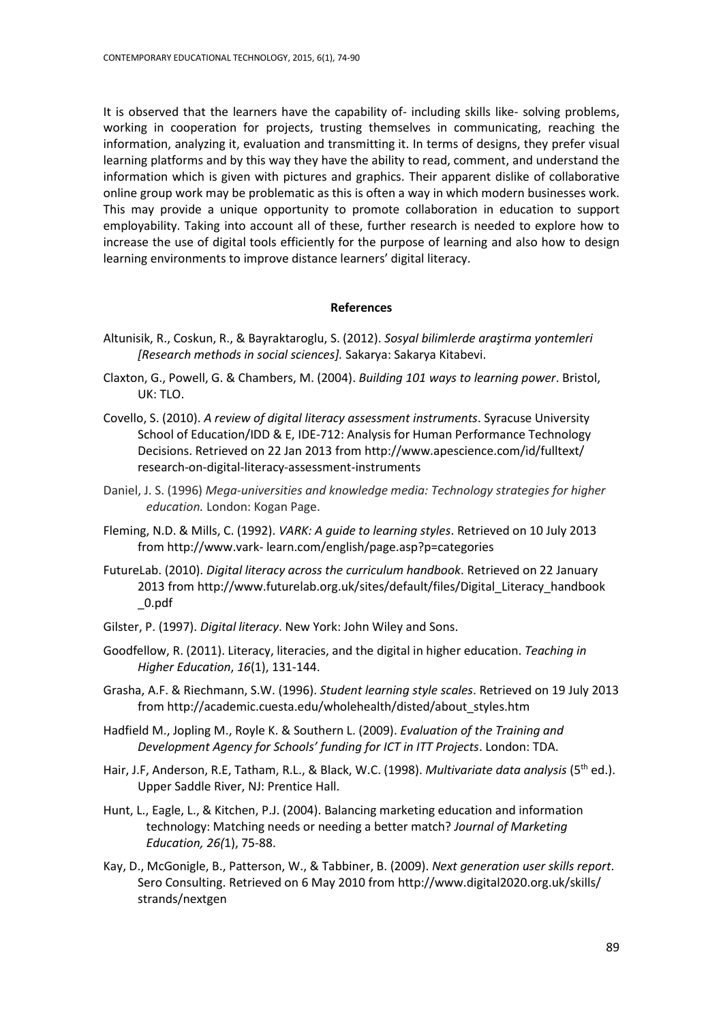It is observed that the learners have the capability of- including skills like- solving problems, working in cooperation for projects, trusting themselves in communicating, reaching the information, analyzing it, evaluation and transmitting it. In terms of designs, they prefer visual learning platforms and by this way they have the ability to read, comment, and understand the information which is given with pictures and graphics. Their apparent dislike of collaborative online group work may be problematic as this is often a way in which modern businesses work. This may provide a unique opportunity to promote collaboration in education to support employability. Taking into account all of these, further research is needed to explore how to increase the use of digital tools efficiently for the purpose of learning and also how to design learning environments to improve distance learners' digital literacy.

#### **References**

- Altunisik, R., Coskun, R., & Bayraktaroglu, S. (2012). *Sosyal bilimlerde araştirma yontemleri [Research methods in social sciences].* Sakarya: Sakarya Kitabevi.
- Claxton, G., Powell, G. & Chambers, M. (2004). *Building 101 ways to learning power*. Bristol, UK: TLO.
- Covello, S. (2010). *A review of digital literacy assessment instruments*. Syracuse University School of Education/IDD & E, IDE-712: Analysis for Human Performance Technology Decisions. Retrieved on 22 Jan 2013 from http://www.apescience.com/id/fulltext/ research-on-digital-literacy-assessment-instruments
- Daniel, J. S. (1996) *Mega-universities and knowledge media: Technology strategies for higher education.* London: Kogan Page.
- Fleming, N.D. & Mills, C. (1992). *VARK: A guide to learning styles*. Retrieved on 10 July 2013 from http://www.vark- learn.com/english/page.asp?p=categories
- FutureLab. (2010). *Digital literacy across the curriculum handbook*. Retrieved on 22 January 2013 fro[m http://www.futurelab.org.uk/sites/default/files/Digital\\_Literacy\\_handbook](http://www.futurelab.org.uk/sites/default/files/Digital_Literacy_handbook%20_0.pdf)  [\\_0.pdf](http://www.futurelab.org.uk/sites/default/files/Digital_Literacy_handbook%20_0.pdf)
- Gilster, P. (1997). *Digital literacy*. New York: John Wiley and Sons.
- Goodfellow, R. (2011). Literacy, literacies, and the digital in higher education. *Teaching in Higher Education*, *16*(1), 131-144.
- Grasha, A.F. & Riechmann, S.W. (1996). *Student learning style scales*. Retrieved on 19 July 2013 from http://academic.cuesta.edu/wholehealth/disted/about\_styles.htm
- Hadfield M., Jopling M., Royle K. & Southern L. (2009). *[Evaluation of the Training and](http://www.wlv.ac.uk/www.tda.gov.uk/techforteaching)  [Development Agency for Schools' funding for ICT in ITT Projects](http://www.wlv.ac.uk/www.tda.gov.uk/techforteaching)*. London: TDA.
- Hair, J.F, Anderson, R.E, Tatham, R.L., & Black, W.C. (1998). *Multivariate data analysis* (5th ed.). Upper Saddle River, NJ: Prentice Hall.
- Hunt, L., Eagle, L., & Kitchen, P.J. (2004). Balancing marketing education and information technology: Matching needs or needing a better match? *Journal of Marketing Education, 26(*1), 75-88.
- Kay, D., McGonigle, B., Patterson, W., & Tabbiner, B. (2009). *Next generation user skills report*. Sero Consulting. Retrieved on 6 May 2010 fro[m http://www.digital2020.org.uk/skills/](http://www.digital2020.org.uk/skills/%20strands/nextgen)  [strands/nextgen](http://www.digital2020.org.uk/skills/%20strands/nextgen)